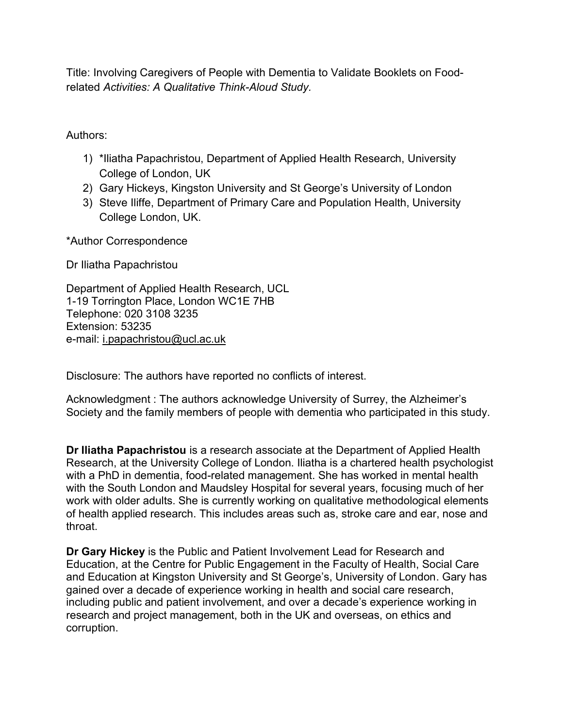Title: Involving Caregivers of People with Dementia to Validate Booklets on Foodrelated *Activities: A Qualitative Think-Aloud Study.*

Authors:

- 1) \*Iliatha Papachristou, Department of Applied Health Research, University College of London, UK
- 2) Gary Hickeys, Kingston University and St George's University of London
- 3) Steve Iliffe, Department of Primary Care and Population Health, University College London, UK.

\*Author Correspondence

Dr Iliatha Papachristou

Department of Applied Health Research, UCL 1-19 Torrington Place, London WC1E 7HB Telephone: 020 3108 3235 Extension: 53235 e-mail: [i.papachristou@ucl.ac.uk](mailto:i.papachristou@ucl.ac.uk)

Disclosure: The authors have reported no conflicts of interest.

Acknowledgment : The authors acknowledge University of Surrey, the Alzheimer's Society and the family members of people with dementia who participated in this study.

**Dr Iliatha Papachristou** is a research associate at the Department of Applied Health Research, at the University College of London. Iliatha is a chartered health psychologist with a PhD in dementia, food-related management. She has worked in mental health with the South London and Maudsley Hospital for several years, focusing much of her work with older adults. She is currently working on qualitative methodological elements of health applied research. This includes areas such as, stroke care and ear, nose and throat.

**Dr Gary Hickey** is the Public and Patient Involvement Lead for Research and Education, at the Centre for Public Engagement in the Faculty of Health, Social Care and Education at Kingston University and St George's, University of London. Gary has gained over a decade of experience working in health and social care research, including public and patient involvement, and over a decade's experience working in research and project management, both in the UK and overseas, on ethics and corruption.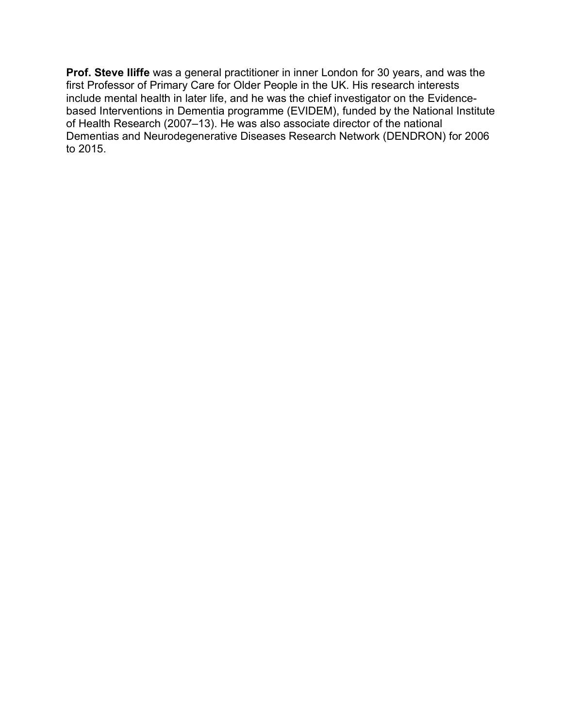**Prof. Steve Iliffe** was a general practitioner in inner London for 30 years, and was the first Professor of Primary Care for Older People in the UK. His research interests include mental health in later life, and he was the chief investigator on the Evidencebased Interventions in Dementia programme (EVIDEM), funded by the National Institute of Health Research (2007–13). He was also associate director of the national Dementias and Neurodegenerative Diseases Research Network (DENDRON) for 2006 to 2015.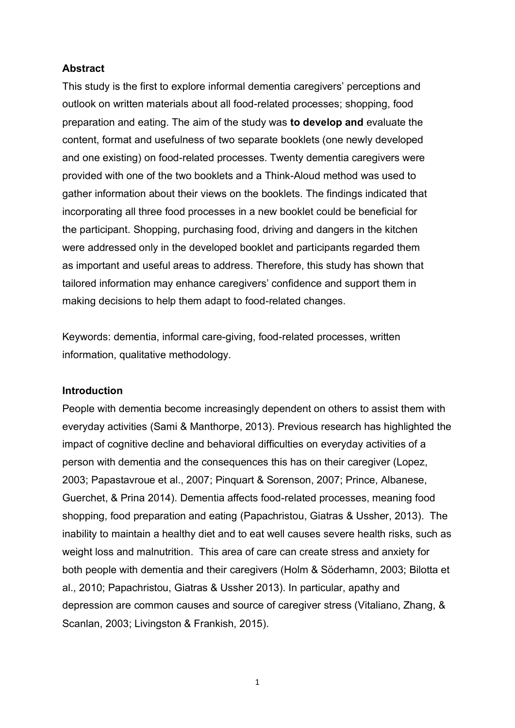## **Abstract**

This study is the first to explore informal dementia caregivers' perceptions and outlook on written materials about all food-related processes; shopping, food preparation and eating. The aim of the study was **to develop and** evaluate the content, format and usefulness of two separate booklets (one newly developed and one existing) on food-related processes. Twenty dementia caregivers were provided with one of the two booklets and a Think-Aloud method was used to gather information about their views on the booklets. The findings indicated that incorporating all three food processes in a new booklet could be beneficial for the participant. Shopping, purchasing food, driving and dangers in the kitchen were addressed only in the developed booklet and participants regarded them as important and useful areas to address. Therefore, this study has shown that tailored information may enhance caregivers' confidence and support them in making decisions to help them adapt to food-related changes.

Keywords: dementia, informal care-giving, food-related processes, written information, qualitative methodology.

#### **Introduction**

People with dementia become increasingly dependent on others to assist them with everyday activities (Sami & Manthorpe, 2013). Previous research has highlighted the impact of cognitive decline and behavioral difficulties on everyday activities of a person with dementia and the consequences this has on their caregiver (Lopez, 2003; Papastavroue et al., 2007; Pinquart & Sorenson, 2007; Prince, Albanese, Guerchet, & Prina 2014). Dementia affects food-related processes, meaning food shopping, food preparation and eating (Papachristou, Giatras & Ussher, 2013). The inability to maintain a healthy diet and to eat well causes severe health risks, such as weight loss and malnutrition. This area of care can create stress and anxiety for both people with dementia and their caregivers (Holm & Söderhamn, 2003; Bilotta et al., 2010; Papachristou, Giatras & Ussher 2013). In particular, apathy and depression are common causes and source of caregiver stress (Vitaliano, Zhang, & Scanlan, 2003; Livingston & Frankish, 2015).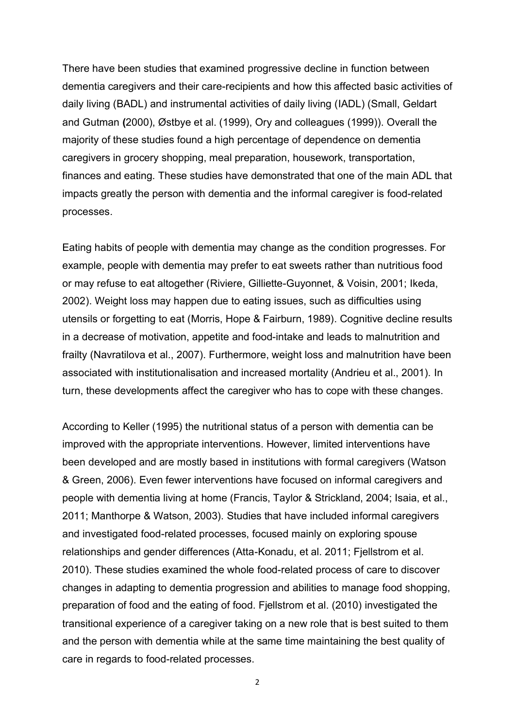There have been studies that examined progressive decline in function between dementia caregivers and their care-recipients and how this affected basic activities of daily living (BADL) and instrumental activities of daily living (IADL) (Small, Geldart and Gutman **(**2000), Østbye et al. (1999), Ory and colleagues (1999)). Overall the majority of these studies found a high percentage of dependence on dementia caregivers in grocery shopping, meal preparation, housework, transportation, finances and eating. These studies have demonstrated that one of the main ADL that impacts greatly the person with dementia and the informal caregiver is food-related processes.

Eating habits of people with dementia may change as the condition progresses. For example, people with dementia may prefer to eat sweets rather than nutritious food or may refuse to eat altogether (Riviere, Gilliette-Guyonnet, & Voisin, 2001; Ikeda, 2002). Weight loss may happen due to eating issues, such as difficulties using utensils or forgetting to eat (Morris, Hope & Fairburn, 1989). Cognitive decline results in a decrease of motivation, appetite and food-intake and leads to malnutrition and frailty (Navratilova et al., 2007). Furthermore, weight loss and malnutrition have been associated with institutionalisation and increased mortality (Andrieu et al., 2001). In turn, these developments affect the caregiver who has to cope with these changes.

According to Keller (1995) the nutritional status of a person with dementia can be improved with the appropriate interventions. However, limited interventions have been developed and are mostly based in institutions with formal caregivers (Watson & Green, 2006). Even fewer interventions have focused on informal caregivers and people with dementia living at home (Francis, Taylor & Strickland, 2004; Isaia, et al., 2011; Manthorpe & Watson, 2003). Studies that have included informal caregivers and investigated food-related processes, focused mainly on exploring spouse relationships and gender differences (Atta-Konadu, et al. 2011; Fjellstrom et al. 2010). These studies examined the whole food-related process of care to discover changes in adapting to dementia progression and abilities to manage food shopping, preparation of food and the eating of food. Fjellstrom et al. (2010) investigated the transitional experience of a caregiver taking on a new role that is best suited to them and the person with dementia while at the same time maintaining the best quality of care in regards to food-related processes.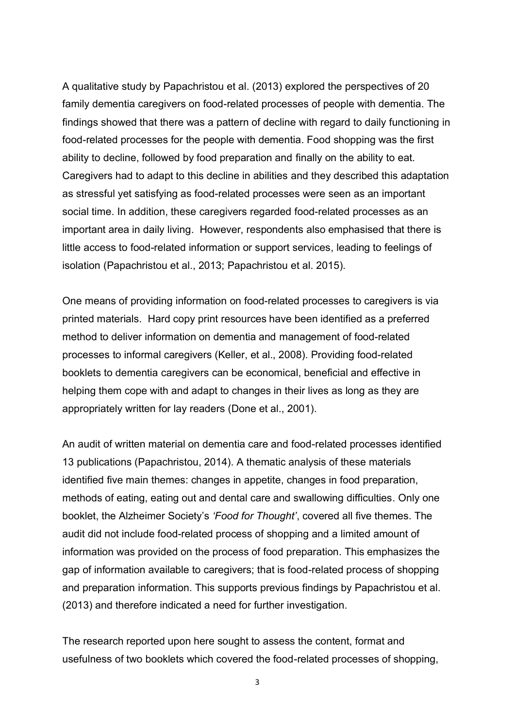A qualitative study by Papachristou et al. (2013) explored the perspectives of 20 family dementia caregivers on food-related processes of people with dementia. The findings showed that there was a pattern of decline with regard to daily functioning in food-related processes for the people with dementia. Food shopping was the first ability to decline, followed by food preparation and finally on the ability to eat. Caregivers had to adapt to this decline in abilities and they described this adaptation as stressful yet satisfying as food-related processes were seen as an important social time. In addition, these caregivers regarded food-related processes as an important area in daily living. However, respondents also emphasised that there is little access to food-related information or support services, leading to feelings of isolation (Papachristou et al., 2013; Papachristou et al. 2015).

One means of providing information on food-related processes to caregivers is via printed materials. Hard copy print resources have been identified as a preferred method to deliver information on dementia and management of food-related processes to informal caregivers (Keller, et al., 2008). Providing food-related booklets to dementia caregivers can be economical, beneficial and effective in helping them cope with and adapt to changes in their lives as long as they are appropriately written for lay readers (Done et al., 2001).

An audit of written material on dementia care and food-related processes identified 13 publications (Papachristou, 2014). A thematic analysis of these materials identified five main themes: changes in appetite, changes in food preparation, methods of eating, eating out and dental care and swallowing difficulties. Only one booklet, the Alzheimer Society's *'Food for Thought'*, covered all five themes. The audit did not include food-related process of shopping and a limited amount of information was provided on the process of food preparation. This emphasizes the gap of information available to caregivers; that is food-related process of shopping and preparation information. This supports previous findings by Papachristou et al. (2013) and therefore indicated a need for further investigation.

The research reported upon here sought to assess the content, format and usefulness of two booklets which covered the food-related processes of shopping,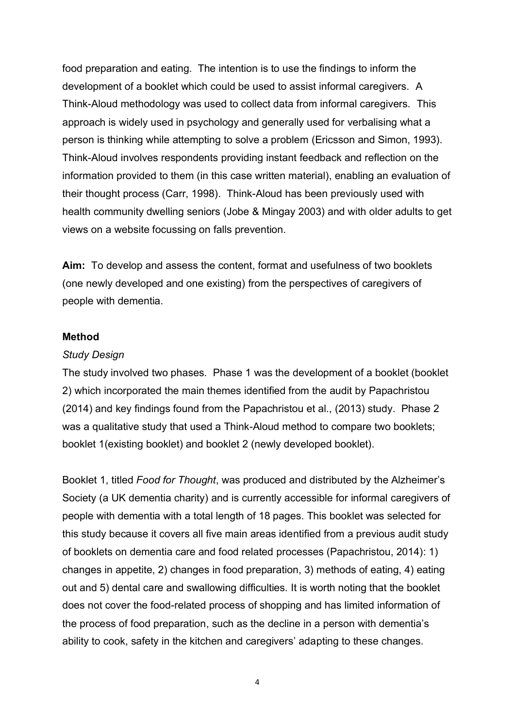food preparation and eating. The intention is to use the findings to inform the development of a booklet which could be used to assist informal caregivers. A Think-Aloud methodology was used to collect data from informal caregivers. This approach is widely used in psychology and generally used for verbalising what a person is thinking while attempting to solve a problem (Ericsson and Simon, 1993). Think-Aloud involves respondents providing instant feedback and reflection on the information provided to them (in this case written material), enabling an evaluation of their thought process (Carr, 1998). Think-Aloud has been previously used with health community dwelling seniors (Jobe & Mingay 2003) and with older adults to get views on a website focussing on falls prevention.

**Aim:** To develop and assess the content, format and usefulness of two booklets (one newly developed and one existing) from the perspectives of caregivers of people with dementia.

#### **Method**

#### *Study Design*

The study involved two phases. Phase 1 was the development of a booklet (booklet 2) which incorporated the main themes identified from the audit by Papachristou (2014) and key findings found from the Papachristou et al., (2013) study. Phase 2 was a qualitative study that used a Think-Aloud method to compare two booklets; booklet 1(existing booklet) and booklet 2 (newly developed booklet).

Booklet 1, titled *Food for Thought*, was produced and distributed by the Alzheimer's Society (a UK dementia charity) and is currently accessible for informal caregivers of people with dementia with a total length of 18 pages. This booklet was selected for this study because it covers all five main areas identified from a previous audit study of booklets on dementia care and food related processes (Papachristou, 2014): 1) changes in appetite, 2) changes in food preparation, 3) methods of eating, 4) eating out and 5) dental care and swallowing difficulties. It is worth noting that the booklet does not cover the food-related process of shopping and has limited information of the process of food preparation, such as the decline in a person with dementia's ability to cook, safety in the kitchen and caregivers' adapting to these changes.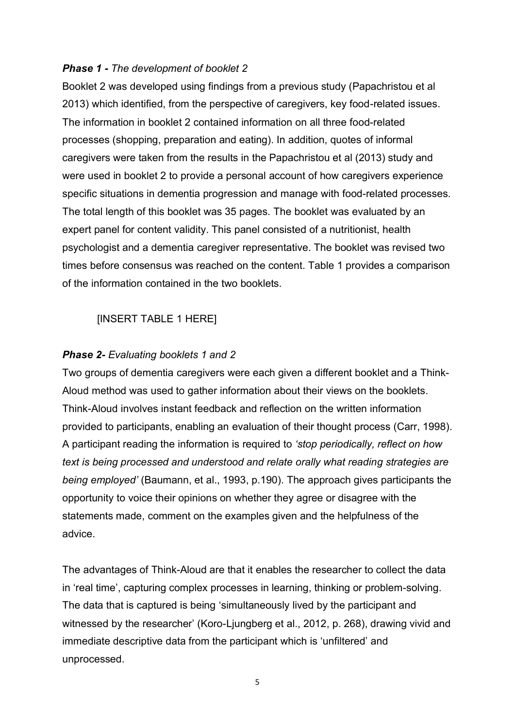## *Phase 1 - The development of booklet 2*

Booklet 2 was developed using findings from a previous study (Papachristou et al 2013) which identified, from the perspective of caregivers, key food-related issues. The information in booklet 2 contained information on all three food-related processes (shopping, preparation and eating). In addition, quotes of informal caregivers were taken from the results in the Papachristou et al (2013) study and were used in booklet 2 to provide a personal account of how caregivers experience specific situations in dementia progression and manage with food-related processes. The total length of this booklet was 35 pages. The booklet was evaluated by an expert panel for content validity. This panel consisted of a nutritionist, health psychologist and a dementia caregiver representative. The booklet was revised two times before consensus was reached on the content. Table 1 provides a comparison of the information contained in the two booklets.

## [INSERT TABLE 1 HERE]

#### *Phase 2- Evaluating booklets 1 and 2*

Two groups of dementia caregivers were each given a different booklet and a Think-Aloud method was used to gather information about their views on the booklets. Think-Aloud involves instant feedback and reflection on the written information provided to participants, enabling an evaluation of their thought process (Carr, 1998). A participant reading the information is required to *'stop periodically, reflect on how text is being processed and understood and relate orally what reading strategies are being employed'* (Baumann, et al., 1993, p.190). The approach gives participants the opportunity to voice their opinions on whether they agree or disagree with the statements made, comment on the examples given and the helpfulness of the advice.

The advantages of Think-Aloud are that it enables the researcher to collect the data in 'real time', capturing complex processes in learning, thinking or problem-solving. The data that is captured is being 'simultaneously lived by the participant and witnessed by the researcher' (Koro-Ljungberg et al., 2012, p. 268), drawing vivid and immediate descriptive data from the participant which is 'unfiltered' and unprocessed.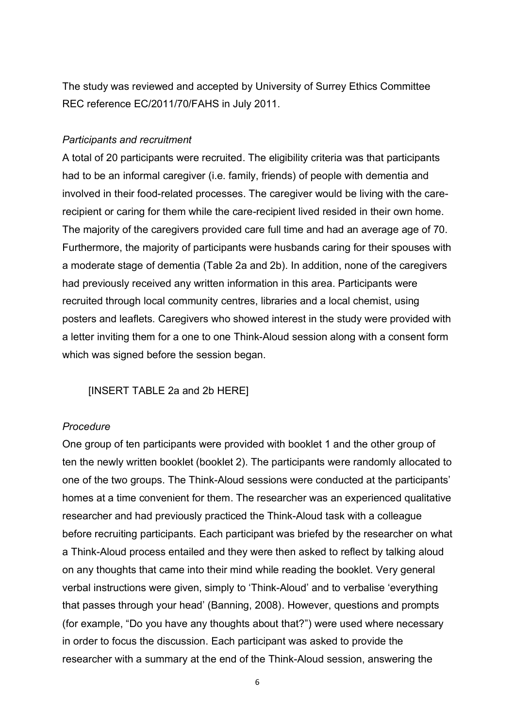The study was reviewed and accepted by University of Surrey Ethics Committee REC reference EC/2011/70/FAHS in July 2011.

#### *Participants and recruitment*

A total of 20 participants were recruited. The eligibility criteria was that participants had to be an informal caregiver (i.e. family, friends) of people with dementia and involved in their food-related processes. The caregiver would be living with the carerecipient or caring for them while the care-recipient lived resided in their own home. The majority of the caregivers provided care full time and had an average age of 70. Furthermore, the majority of participants were husbands caring for their spouses with a moderate stage of dementia (Table 2a and 2b). In addition, none of the caregivers had previously received any written information in this area. Participants were recruited through local community centres, libraries and a local chemist, using posters and leaflets. Caregivers who showed interest in the study were provided with a letter inviting them for a one to one Think-Aloud session along with a consent form which was signed before the session began.

#### [INSERT TABLE 2a and 2b HERE]

#### *Procedure*

One group of ten participants were provided with booklet 1 and the other group of ten the newly written booklet (booklet 2). The participants were randomly allocated to one of the two groups. The Think-Aloud sessions were conducted at the participants' homes at a time convenient for them. The researcher was an experienced qualitative researcher and had previously practiced the Think-Aloud task with a colleague before recruiting participants. Each participant was briefed by the researcher on what a Think-Aloud process entailed and they were then asked to reflect by talking aloud on any thoughts that came into their mind while reading the booklet. Very general verbal instructions were given, simply to 'Think-Aloud' and to verbalise 'everything that passes through your head' (Banning, 2008). However, questions and prompts (for example, "Do you have any thoughts about that?") were used where necessary in order to focus the discussion. Each participant was asked to provide the researcher with a summary at the end of the Think-Aloud session, answering the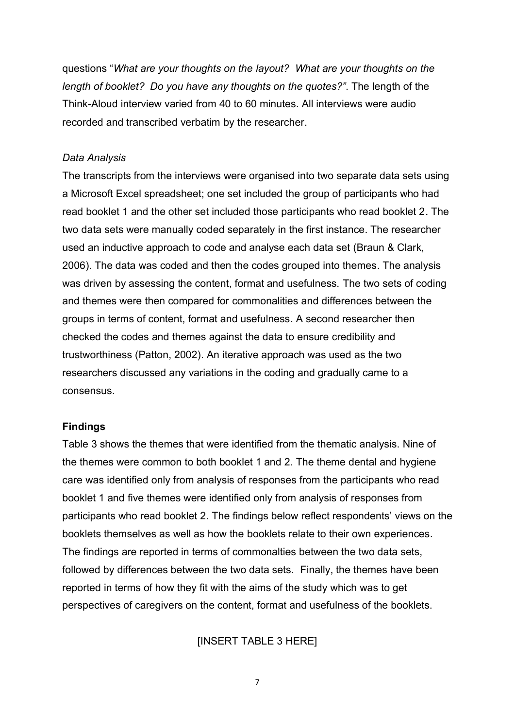questions "*What are your thoughts on the layout? What are your thoughts on the length of booklet? Do you have any thoughts on the quotes?"*. The length of the Think-Aloud interview varied from 40 to 60 minutes. All interviews were audio recorded and transcribed verbatim by the researcher.

#### *Data Analysis*

The transcripts from the interviews were organised into two separate data sets using a Microsoft Excel spreadsheet; one set included the group of participants who had read booklet 1 and the other set included those participants who read booklet 2. The two data sets were manually coded separately in the first instance. The researcher used an inductive approach to code and analyse each data set (Braun & Clark, 2006). The data was coded and then the codes grouped into themes. The analysis was driven by assessing the content, format and usefulness. The two sets of coding and themes were then compared for commonalities and differences between the groups in terms of content, format and usefulness. A second researcher then checked the codes and themes against the data to ensure credibility and trustworthiness (Patton, 2002). An iterative approach was used as the two researchers discussed any variations in the coding and gradually came to a consensus.

#### **Findings**

Table 3 shows the themes that were identified from the thematic analysis. Nine of the themes were common to both booklet 1 and 2. The theme dental and hygiene care was identified only from analysis of responses from the participants who read booklet 1 and five themes were identified only from analysis of responses from participants who read booklet 2. The findings below reflect respondents' views on the booklets themselves as well as how the booklets relate to their own experiences. The findings are reported in terms of commonalties between the two data sets, followed by differences between the two data sets. Finally, the themes have been reported in terms of how they fit with the aims of the study which was to get perspectives of caregivers on the content, format and usefulness of the booklets.

### [INSERT TABLE 3 HERE]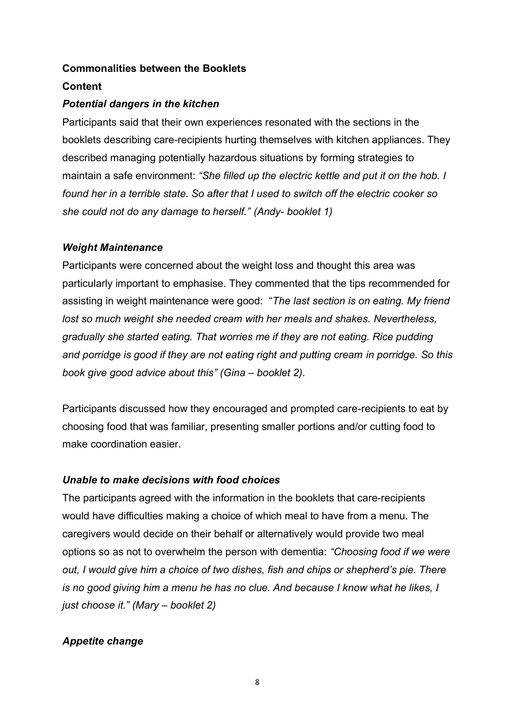# **Commonalities between the Booklets**

# **Content**

# *Potential dangers in the kitchen*

Participants said that their own experiences resonated with the sections in the booklets describing care-recipients hurting themselves with kitchen appliances. They described managing potentially hazardous situations by forming strategies to maintain a safe environment: *"She filled up the electric kettle and put it on the hob. I found her in a terrible state. So after that I used to switch off the electric cooker so she could not do any damage to herself." (Andy- booklet 1)*

## *Weight Maintenance*

Participants were concerned about the weight loss and thought this area was particularly important to emphasise. They commented that the tips recommended for assisting in weight maintenance were good: "*The last section is on eating. My friend lost so much weight she needed cream with her meals and shakes. Nevertheless, gradually she started eating. That worries me if they are not eating. Rice pudding and porridge is good if they are not eating right and putting cream in porridge. So this book give good advice about this" (Gina – booklet 2).*

Participants discussed how they encouraged and prompted care-recipients to eat by choosing food that was familiar, presenting smaller portions and/or cutting food to make coordination easier.

# *Unable to make decisions with food choices*

The participants agreed with the information in the booklets that care-recipients would have difficulties making a choice of which meal to have from a menu. The caregivers would decide on their behalf or alternatively would provide two meal options so as not to overwhelm the person with dementia: *"Choosing food if we were out, I would give him a choice of two dishes, fish and chips or shepherd's pie. There is no good giving him a menu he has no clue. And because I know what he likes, I just choose it." (Mary – booklet 2)*

# *Appetite change*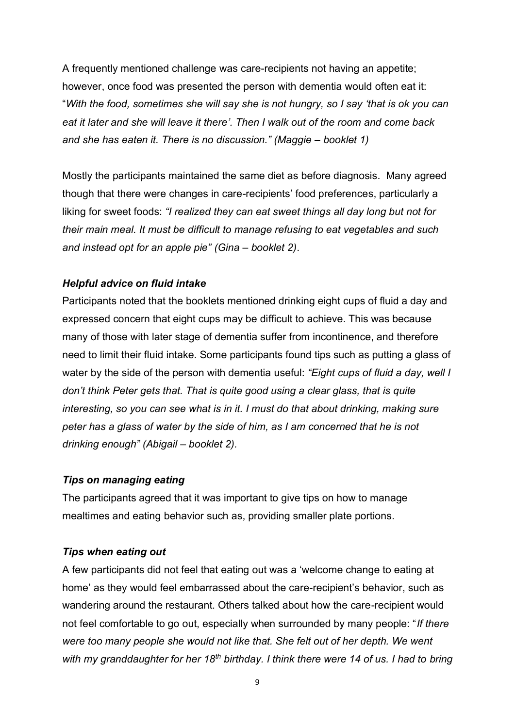A frequently mentioned challenge was care-recipients not having an appetite; however, once food was presented the person with dementia would often eat it: "*With the food, sometimes she will say she is not hungry, so I say 'that is ok you can eat it later and she will leave it there'. Then I walk out of the room and come back and she has eaten it. There is no discussion." (Maggie – booklet 1)*

Mostly the participants maintained the same diet as before diagnosis. Many agreed though that there were changes in care-recipients' food preferences, particularly a liking for sweet foods: *"I realized they can eat sweet things all day long but not for their main meal. It must be difficult to manage refusing to eat vegetables and such and instead opt for an apple pie" (Gina – booklet 2)*.

## *Helpful advice on fluid intake*

Participants noted that the booklets mentioned drinking eight cups of fluid a day and expressed concern that eight cups may be difficult to achieve. This was because many of those with later stage of dementia suffer from incontinence, and therefore need to limit their fluid intake. Some participants found tips such as putting a glass of water by the side of the person with dementia useful: *"Eight cups of fluid a day, well I don't think Peter gets that. That is quite good using a clear glass, that is quite interesting, so you can see what is in it. I must do that about drinking, making sure peter has a glass of water by the side of him, as I am concerned that he is not drinking enough" (Abigail – booklet 2).*

## *Tips on managing eating*

The participants agreed that it was important to give tips on how to manage mealtimes and eating behavior such as, providing smaller plate portions.

## *Tips when eating out*

A few participants did not feel that eating out was a 'welcome change to eating at home' as they would feel embarrassed about the care-recipient's behavior, such as wandering around the restaurant. Others talked about how the care-recipient would not feel comfortable to go out, especially when surrounded by many people: "*If there were too many people she would not like that. She felt out of her depth. We went with my granddaughter for her 18th birthday. I think there were 14 of us. I had to bring*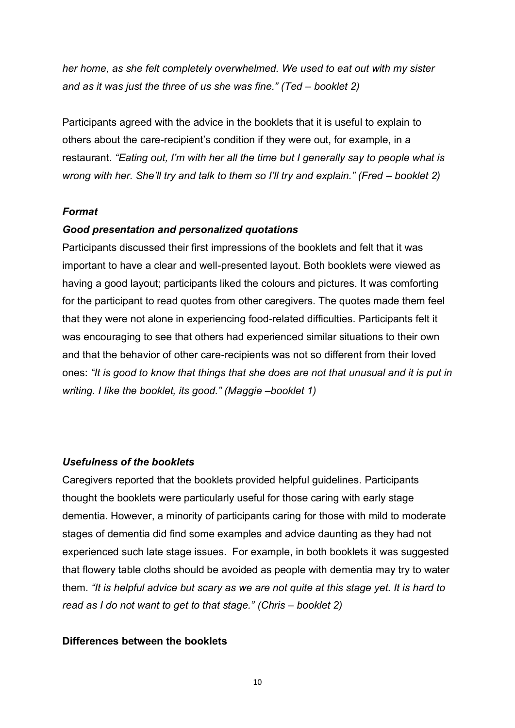*her home, as she felt completely overwhelmed. We used to eat out with my sister and as it was just the three of us she was fine." (Ted – booklet 2)*

Participants agreed with the advice in the booklets that it is useful to explain to others about the care-recipient's condition if they were out, for example, in a restaurant. *"Eating out, I'm with her all the time but I generally say to people what is wrong with her. She'll try and talk to them so I'll try and explain." (Fred – booklet 2)*

#### *Format*

### *Good presentation and personalized quotations*

Participants discussed their first impressions of the booklets and felt that it was important to have a clear and well-presented layout. Both booklets were viewed as having a good layout; participants liked the colours and pictures. It was comforting for the participant to read quotes from other caregivers. The quotes made them feel that they were not alone in experiencing food-related difficulties. Participants felt it was encouraging to see that others had experienced similar situations to their own and that the behavior of other care-recipients was not so different from their loved ones: *"It is good to know that things that she does are not that unusual and it is put in writing. I like the booklet, its good." (Maggie -booklet 1)* 

## *Usefulness of the booklets*

Caregivers reported that the booklets provided helpful guidelines. Participants thought the booklets were particularly useful for those caring with early stage dementia. However, a minority of participants caring for those with mild to moderate stages of dementia did find some examples and advice daunting as they had not experienced such late stage issues. For example, in both booklets it was suggested that flowery table cloths should be avoided as people with dementia may try to water them. *"It is helpful advice but scary as we are not quite at this stage yet. It is hard to read as I do not want to get to that stage." (Chris – booklet 2)*

#### **Differences between the booklets**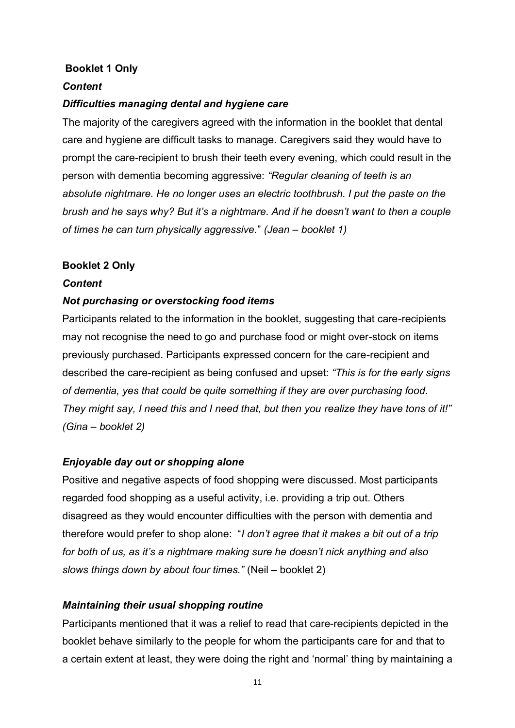# **Booklet 1 Only**

## *Content*

## *Difficulties managing dental and hygiene care*

The majority of the caregivers agreed with the information in the booklet that dental care and hygiene are difficult tasks to manage. Caregivers said they would have to prompt the care-recipient to brush their teeth every evening, which could result in the person with dementia becoming aggressive: *"Regular cleaning of teeth is an absolute nightmare. He no longer uses an electric toothbrush. I put the paste on the brush and he says why? But it's a nightmare. And if he doesn't want to then a couple of times he can turn physically aggressive.*" *(Jean – booklet 1)*

## **Booklet 2 Only**

### *Content*

## *Not purchasing or overstocking food items*

Participants related to the information in the booklet, suggesting that care-recipients may not recognise the need to go and purchase food or might over-stock on items previously purchased. Participants expressed concern for the care-recipient and described the care-recipient as being confused and upset: *"This is for the early signs of dementia, yes that could be quite something if they are over purchasing food. They might say, I need this and I need that, but then you realize they have tons of it!" (Gina – booklet 2)*

## *Enjoyable day out or shopping alone*

Positive and negative aspects of food shopping were discussed. Most participants regarded food shopping as a useful activity, i.e. providing a trip out. Others disagreed as they would encounter difficulties with the person with dementia and therefore would prefer to shop alone: "*I don't agree that it makes a bit out of a trip for both of us, as it's a nightmare making sure he doesn't nick anything and also slows things down by about four times."* (Neil – booklet 2)

## *Maintaining their usual shopping routine*

Participants mentioned that it was a relief to read that care-recipients depicted in the booklet behave similarly to the people for whom the participants care for and that to a certain extent at least, they were doing the right and 'normal' thing by maintaining a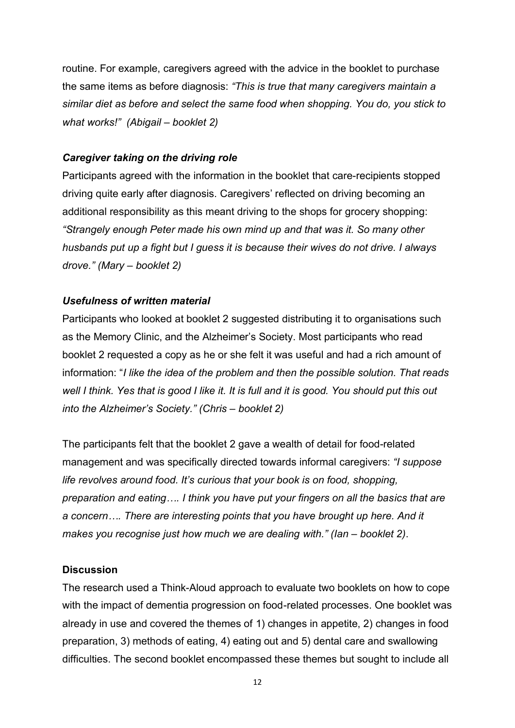routine. For example, caregivers agreed with the advice in the booklet to purchase the same items as before diagnosis: *"This is true that many caregivers maintain a similar diet as before and select the same food when shopping. You do, you stick to what works!" (Abigail – booklet 2)*

### *Caregiver taking on the driving role*

Participants agreed with the information in the booklet that care-recipients stopped driving quite early after diagnosis. Caregivers' reflected on driving becoming an additional responsibility as this meant driving to the shops for grocery shopping: *"Strangely enough Peter made his own mind up and that was it. So many other husbands put up a fight but I guess it is because their wives do not drive. I always drove." (Mary – booklet 2)*

### *Usefulness of written material*

Participants who looked at booklet 2 suggested distributing it to organisations such as the Memory Clinic, and the Alzheimer's Society. Most participants who read booklet 2 requested a copy as he or she felt it was useful and had a rich amount of information: "*I like the idea of the problem and then the possible solution. That reads well I think. Yes that is good I like it. It is full and it is good. You should put this out into the Alzheimer's Society." (Chris – booklet 2)*

The participants felt that the booklet 2 gave a wealth of detail for food-related management and was specifically directed towards informal caregivers: *"I suppose life revolves around food. It's curious that your book is on food, shopping, preparation and eating…. I think you have put your fingers on all the basics that are a concern…. There are interesting points that you have brought up here. And it makes you recognise just how much we are dealing with." (Ian – booklet 2)*.

#### **Discussion**

The research used a Think-Aloud approach to evaluate two booklets on how to cope with the impact of dementia progression on food-related processes. One booklet was already in use and covered the themes of 1) changes in appetite, 2) changes in food preparation, 3) methods of eating, 4) eating out and 5) dental care and swallowing difficulties. The second booklet encompassed these themes but sought to include all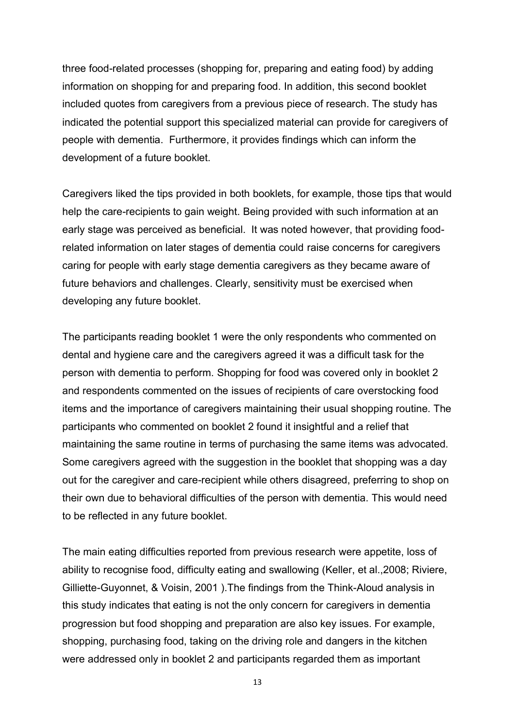three food-related processes (shopping for, preparing and eating food) by adding information on shopping for and preparing food. In addition, this second booklet included quotes from caregivers from a previous piece of research. The study has indicated the potential support this specialized material can provide for caregivers of people with dementia. Furthermore, it provides findings which can inform the development of a future booklet.

Caregivers liked the tips provided in both booklets, for example, those tips that would help the care-recipients to gain weight. Being provided with such information at an early stage was perceived as beneficial. It was noted however, that providing foodrelated information on later stages of dementia could raise concerns for caregivers caring for people with early stage dementia caregivers as they became aware of future behaviors and challenges. Clearly, sensitivity must be exercised when developing any future booklet.

The participants reading booklet 1 were the only respondents who commented on dental and hygiene care and the caregivers agreed it was a difficult task for the person with dementia to perform. Shopping for food was covered only in booklet 2 and respondents commented on the issues of recipients of care overstocking food items and the importance of caregivers maintaining their usual shopping routine. The participants who commented on booklet 2 found it insightful and a relief that maintaining the same routine in terms of purchasing the same items was advocated. Some caregivers agreed with the suggestion in the booklet that shopping was a day out for the caregiver and care-recipient while others disagreed, preferring to shop on their own due to behavioral difficulties of the person with dementia. This would need to be reflected in any future booklet.

The main eating difficulties reported from previous research were appetite, loss of ability to recognise food, difficulty eating and swallowing (Keller, et al.,2008; Riviere, Gilliette-Guyonnet, & Voisin, 2001 ).The findings from the Think-Aloud analysis in this study indicates that eating is not the only concern for caregivers in dementia progression but food shopping and preparation are also key issues. For example, shopping, purchasing food, taking on the driving role and dangers in the kitchen were addressed only in booklet 2 and participants regarded them as important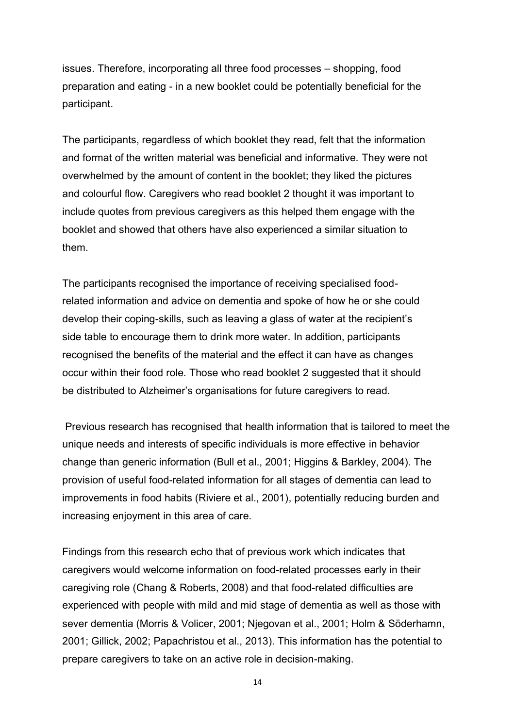issues. Therefore, incorporating all three food processes – shopping, food preparation and eating - in a new booklet could be potentially beneficial for the participant.

The participants, regardless of which booklet they read, felt that the information and format of the written material was beneficial and informative. They were not overwhelmed by the amount of content in the booklet; they liked the pictures and colourful flow. Caregivers who read booklet 2 thought it was important to include quotes from previous caregivers as this helped them engage with the booklet and showed that others have also experienced a similar situation to them.

The participants recognised the importance of receiving specialised foodrelated information and advice on dementia and spoke of how he or she could develop their coping-skills, such as leaving a glass of water at the recipient's side table to encourage them to drink more water. In addition, participants recognised the benefits of the material and the effect it can have as changes occur within their food role. Those who read booklet 2 suggested that it should be distributed to Alzheimer's organisations for future caregivers to read.

Previous research has recognised that health information that is tailored to meet the unique needs and interests of specific individuals is more effective in behavior change than generic information (Bull et al., 2001; Higgins & Barkley, 2004). The provision of useful food-related information for all stages of dementia can lead to improvements in food habits (Riviere et al., 2001), potentially reducing burden and increasing enjoyment in this area of care.

Findings from this research echo that of previous work which indicates that caregivers would welcome information on food-related processes early in their caregiving role (Chang & Roberts, 2008) and that food-related difficulties are experienced with people with mild and mid stage of dementia as well as those with sever dementia (Morris & Volicer, 2001; Njegovan et al., 2001; Holm & Söderhamn, 2001; Gillick, 2002; Papachristou et al., 2013). This information has the potential to prepare caregivers to take on an active role in decision-making.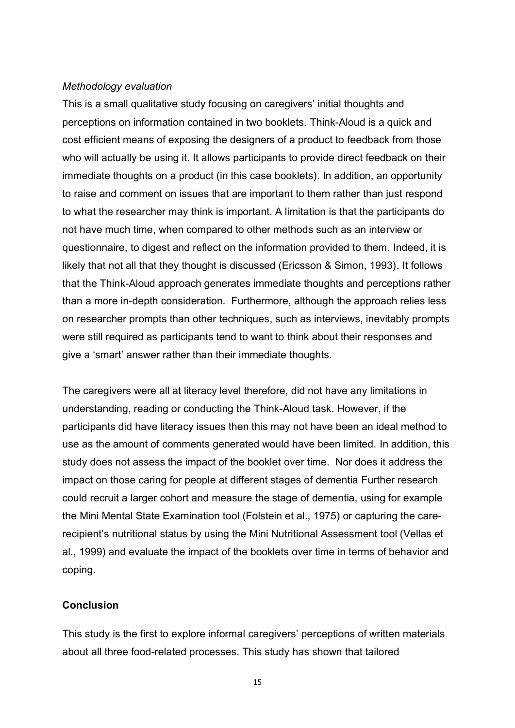### *Methodology evaluation*

This is a small qualitative study focusing on caregivers' initial thoughts and perceptions on information contained in two booklets. Think-Aloud is a quick and cost efficient means of exposing the designers of a product to feedback from those who will actually be using it. It allows participants to provide direct feedback on their immediate thoughts on a product (in this case booklets). In addition, an opportunity to raise and comment on issues that are important to them rather than just respond to what the researcher may think is important. A limitation is that the participants do not have much time, when compared to other methods such as an interview or questionnaire, to digest and reflect on the information provided to them. Indeed, it is likely that not all that they thought is discussed (Ericsson & Simon, 1993). It follows that the Think-Aloud approach generates immediate thoughts and perceptions rather than a more in-depth consideration. Furthermore, although the approach relies less on researcher prompts than other techniques, such as interviews, inevitably prompts were still required as participants tend to want to think about their responses and give a 'smart' answer rather than their immediate thoughts.

The caregivers were all at literacy level therefore, did not have any limitations in understanding, reading or conducting the Think-Aloud task. However, if the participants did have literacy issues then this may not have been an ideal method to use as the amount of comments generated would have been limited. In addition, this study does not assess the impact of the booklet over time. Nor does it address the impact on those caring for people at different stages of dementia Further research could recruit a larger cohort and measure the stage of dementia, using for example the Mini Mental State Examination tool (Folstein et al., 1975) or capturing the carerecipient's nutritional status by using the Mini Nutritional Assessment tool (Vellas et al., 1999) and evaluate the impact of the booklets over time in terms of behavior and coping.

# **Conclusion**

This study is the first to explore informal caregivers' perceptions of written materials about all three food-related processes. This study has shown that tailored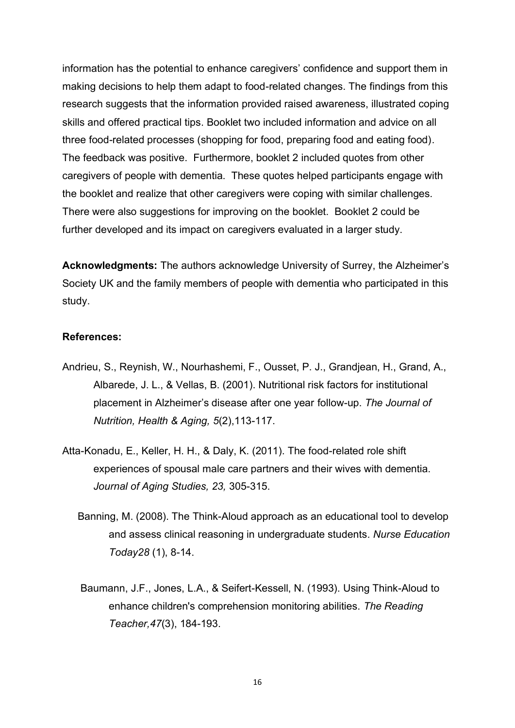information has the potential to enhance caregivers' confidence and support them in making decisions to help them adapt to food-related changes. The findings from this research suggests that the information provided raised awareness, illustrated coping skills and offered practical tips. Booklet two included information and advice on all three food-related processes (shopping for food, preparing food and eating food). The feedback was positive. Furthermore, booklet 2 included quotes from other caregivers of people with dementia. These quotes helped participants engage with the booklet and realize that other caregivers were coping with similar challenges. There were also suggestions for improving on the booklet. Booklet 2 could be further developed and its impact on caregivers evaluated in a larger study.

**Acknowledgments:** The authors acknowledge University of Surrey, the Alzheimer's Society UK and the family members of people with dementia who participated in this study.

#### **References:**

- Andrieu, S., Reynish, W., Nourhashemi, F., Ousset, P. J., Grandjean, H., Grand, A., Albarede, J. L., & Vellas, B. (2001). Nutritional risk factors for institutional placement in Alzheimer's disease after one year follow-up. *The Journal of Nutrition, Health & Aging, 5*(2),113-117.
- Atta-Konadu, E., Keller, H. H., & Daly, K. (2011). The food-related role shift experiences of spousal male care partners and their wives with dementia. *Journal of Aging Studies, 23,* 305-315.
	- [Banning,](http://www.sciencedirect.com/science/article/pii/S0260691707000214) M. (2008). The Think-Aloud approach as an educational tool to develop and assess clinical reasoning in undergraduate students*. Nurse Education Today28* (1), 8-14.
	- Baumann, J.F., Jones, L.A., & Seifert-Kessell, N. (1993). Using Think-Aloud to enhance children's comprehension monitoring abilities. *[The Reading](http://www.reading.org/General/Publications/Journals/RT.aspx) [Teache](http://www.reading.org/General/Publications/Journals/RT.aspx)r,47*(3), 184-193.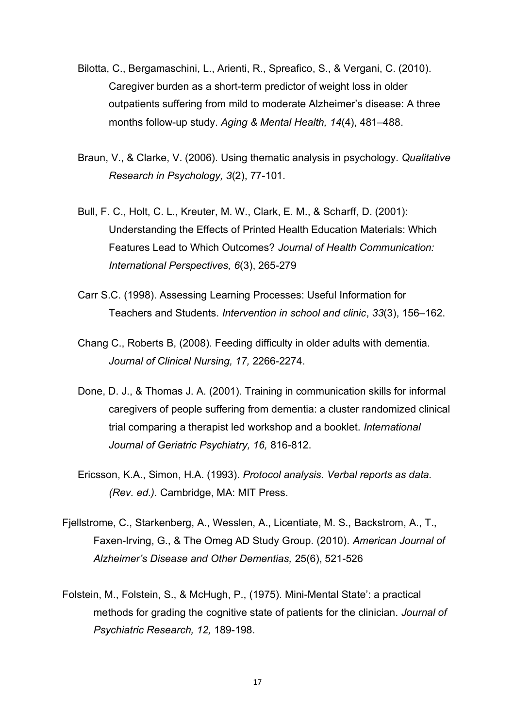- Bilotta, C., Bergamaschini, L., Arienti, R., Spreafico, S., & Vergani, C. (2010). Caregiver burden as a short-term predictor of weight loss in older outpatients suffering from mild to moderate Alzheimer's disease: A three months follow-up study. *Aging & Mental Health, 14*(4), 481–488.
- [Braun,](http://search.proquest.com/indexinglinkhandler/sng/au/Braun,+Virginia/$N?accountid=14511) V., & Clarke, V. (2006). Using thematic analysis in psychology. *[Qualitative](http://search.proquest.com/pubidlinkhandler/sng/pubtitle/Qualitative+Research+in+Psychology/$N/38275/PagePdf/223135521/fulltextPDF/39517D30F7E846E6PQ/1?accountid=14511) [Research in Psyc](http://search.proquest.com/pubidlinkhandler/sng/pubtitle/Qualitative+Research+in+Psychology/$N/38275/PagePdf/223135521/fulltextPDF/39517D30F7E846E6PQ/1?accountid=14511)hology, 3*(2), 77-101.
- Bull, F. C., Holt, C. L., Kreuter, M. W., Clark, E. M., & Scharff, D. (2001): Understanding the Effects of Printed Health Education Materials: Which Features Lead to Which Outcomes? *Journal of Health Communication: International Perspectives, 6*(3), 265-279
- Carr S.C. (1998). Assessing Learning Processes: Useful Information for Teachers and Students. *Intervention in school and clinic*, *33*(3), 156–162.
- Chang C., Roberts B, (2008). Feeding difficulty in older adults with dementia. *Journal of Clinical Nursing, 17,* 2266-2274.
- Done, D. J., & Thomas J. A. (2001). Training in communication skills for informal caregivers of people suffering from dementia: a cluster randomized clinical trial comparing a therapist led workshop and a booklet. *International Journal of Geriatric Psychiatry, 16,* 816-812.
- Ericsson, K.A., Simon, H.A. (1993). *Protocol analysis. Verbal reports as data. (Rev. ed.).* Cambridge, MA: MIT Press.
- Fjellstrome, C., Starkenberg, A., Wesslen, A., Licentiate, M. S., Backstrom, A., T., Faxen-Irving, G., & The Omeg AD Study Group. (2010). *American Journal of Alzheimer's Disease and Other Dementias,* 25(6), 521-526
- Folstein, M., Folstein, S., & McHugh, P., (1975). Mini-Mental State': a practical methods for grading the cognitive state of patients for the clinician. *Journal of Psychiatric Research, 12,* 189-198.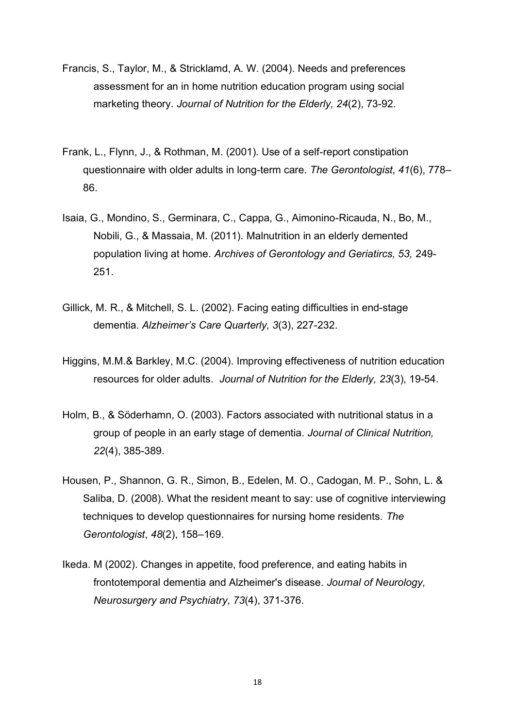- Francis, S., Taylor, M., & Stricklamd, A. W. (2004). Needs and preferences assessment for an in home nutrition education program using social marketing theory. *Journal of Nutrition for the Elderly, 24*(2), 73-92.
- Frank, L., Flynn, J., & Rothman, M. (2001). Use of a self-report constipation questionnaire with older adults in long-term care. *The Gerontologist*, *41*(6), 778– 86.
- Isaia, G., Mondino, S., Germinara, C., Cappa, G., Aimonino-Ricauda, N., Bo, M., Nobili, G., & Massaia, M. (2011). Malnutrition in an elderly demented population living at home. *Archives of Gerontology and Geriatircs, 53,* 249- 251.
- Gillick, M. R., & Mitchell, S. L. (2002). Facing eating difficulties in end-stage dementia. *Alzheimer's Care Quarterly, 3*(3), 227-232.
- Higgins, M.M.& Barkley, M.C. (2004). Improving effectiveness of nutrition education resources for older adults. *Journal of Nutrition for the Elderly, 23*(3), 19-54.
- Holm, B., & Söderhamn, O. (2003). Factors associated with nutritional status in a group of people in an early stage of dementia. *Journal of Clinical Nutrition, 22*(4), 385-389.
- Housen, P., Shannon, G. R., Simon, B., Edelen, M. O., Cadogan, M. P., Sohn, L. & Saliba, D. (2008). What the resident meant to say: use of cognitive interviewing techniques to develop questionnaires for nursing home residents. *The Gerontologist*, *48*(2), 158–169.
- Ikeda. M (2002). Changes in appetite, food preference, and eating habits in frontotemporal dementia and Alzheimer's disease. *Journal of Neurology, Neurosurgery and Psychiatry, 73*(4), 371-376.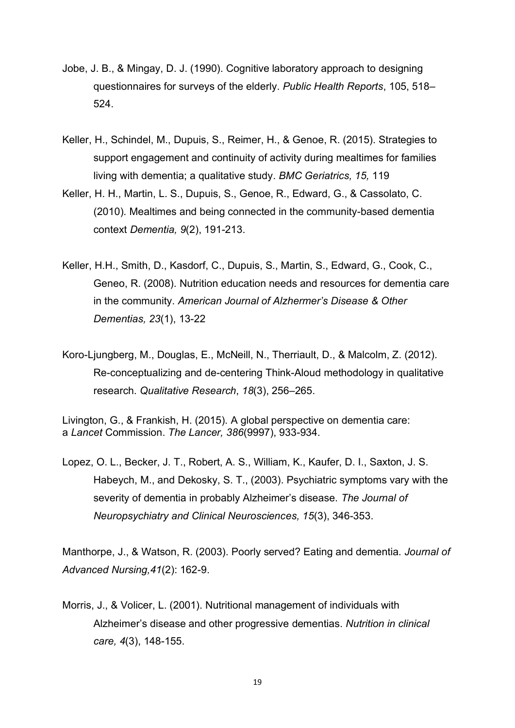- Jobe, J. B., & Mingay, D. J. (1990). Cognitive laboratory approach to designing questionnaires for surveys of the elderly. *Public Health Reports*, 105, 518– 524.
- Keller, H., Schindel, M., Dupuis, S., Reimer, H., & Genoe, R. (2015). Strategies to support engagement and continuity of activity during mealtimes for families living with dementia; a qualitative study. *BMC Geriatrics, 15,* 119
- Keller, H. H., Martin, L. S., Dupuis, S., Genoe, R., Edward, G., & Cassolato, C. (2010). Mealtimes and being connected in the community-based dementia context *Dementia, 9*(2), 191-213.
- Keller, H.H., Smith, D., Kasdorf, C., Dupuis, S., Martin, S., Edward, G., Cook, C., Geneo, R. (2008). Nutrition education needs and resources for dementia care in the community. *American Journal of Alzhermer's Disease & Other Dementias, 23*(1), 13-22
- Koro-Ljungberg, M., Douglas, E., McNeill, N., Therriault, D., & Malcolm, Z. (2012). Re-conceptualizing and de-centering Think-Aloud methodology in qualitative research. *Qualitative Research*, *18*(3), 256–265.

Livington, G., & Frankish, H. (2015). A global perspective on dementia care: a *Lancet* Commission. *The Lancer, 386*(9997), 933-934.

Lopez, O. L., Becker, J. T., Robert, A. S., William, K., Kaufer, D. I., Saxton, J. S. Habeych, M., and Dekosky, S. T., (2003). Psychiatric symptoms vary with the severity of dementia in probably Alzheimer's disease. *The Journal of Neuropsychiatry and Clinical Neurosciences, 15*(3), 346-353.

Manthorpe, J., & Watson, R. (2003). Poorly served? Eating and dementia. *Journal of Advanced Nursing,41*(2): 162-9.

Morris, J., & Volicer, L. (2001). Nutritional management of individuals with Alzheimer's disease and other progressive dementias. *Nutrition in clinical care, 4*(3), 148-155.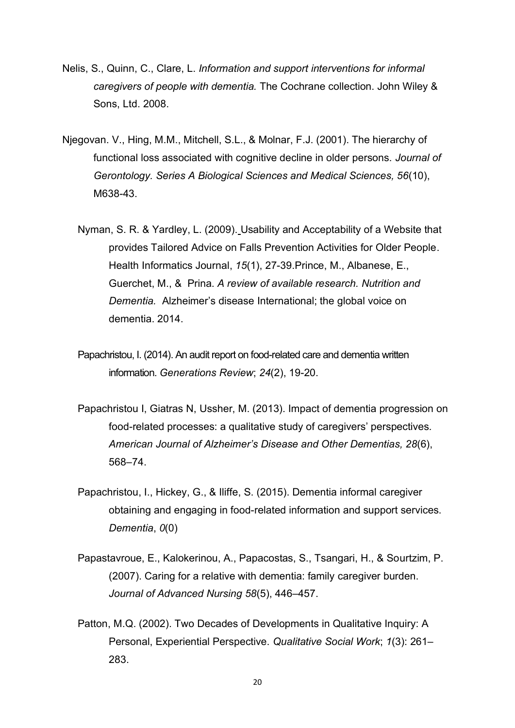- Nelis, S., Quinn, C., Clare, L. *Information and support interventions for informal caregivers of people with dementia.* The Cochrane collection. John Wiley & Sons, Ltd. 2008.
- [Njegovan. V.](http://www.ncbi.nlm.nih.gov/pubmed?term=Njegovan%20V%5BAuthor%5D&cauthor=true&cauthor_uid=11584037), [Hing, M.M.](http://www.ncbi.nlm.nih.gov/pubmed?term=Hing%20MM%5BAuthor%5D&cauthor=true&cauthor_uid=11584037), [Mitchell, S.L.](http://www.ncbi.nlm.nih.gov/pubmed?term=Mitchell%20SL%5BAuthor%5D&cauthor=true&cauthor_uid=11584037), & [Molnar, F.J.](http://www.ncbi.nlm.nih.gov/pubmed?term=Molnar%20FJ%5BAuthor%5D&cauthor=true&cauthor_uid=11584037) (2001). The hierarchy of functional loss associated with cognitive decline in older persons. *[Journal of](http://www.ncbi.nlm.nih.gov/pubmed/11584037)  [Gerontology. Series A Biological Sciences and Medical Sciences, 56](http://www.ncbi.nlm.nih.gov/pubmed/11584037)*(10), [M638-43.](http://www.ncbi.nlm.nih.gov/pubmed/11584037)
	- Nyman, S. R. & Yardley, L. (2009). Usability and Acceptability of a Website that provides Tailored Advice on Falls Prevention Activities for Older People. Health Informatics Journal, *15*(1), 27-39.Prince, M., Albanese, E., Guerchet, M., & Prina. *A review of available research. Nutrition and Dementia.* Alzheimer's disease International; the global voice on dementia. 2014.
	- Papachristou, I. (2014). An audit report on food-related care and dementia written information. *Generations Review*; *24*(2), 19-20.
	- Papachristou I, Giatras N, Ussher, M. (2013). Impact of dementia progression on food-related processes: a qualitative study of caregivers' perspectives*. American Journal of Alzheimer's Disease and Other Dementias, 28*(6), 568–74.
	- Papachristou, I., Hickey, G., & Iliffe, S. (2015). Dementia informal caregiver obtaining and engaging in food-related information and support services. *Dementia*, *0*(0)
	- Papastavroue, E., Kalokerinou, A., Papacostas, S., Tsangari, H., & Sourtzim, P. (2007). Caring for a relative with dementia: family caregiver burden. *Journal of Advanced Nursing 58*(5), 446–457.
	- Patton, M.Q. (2002). Two Decades of Developments in Qualitative Inquiry: A Personal, Experiential Perspective. *Qualitative Social Work*; *1*(3): 261– 283.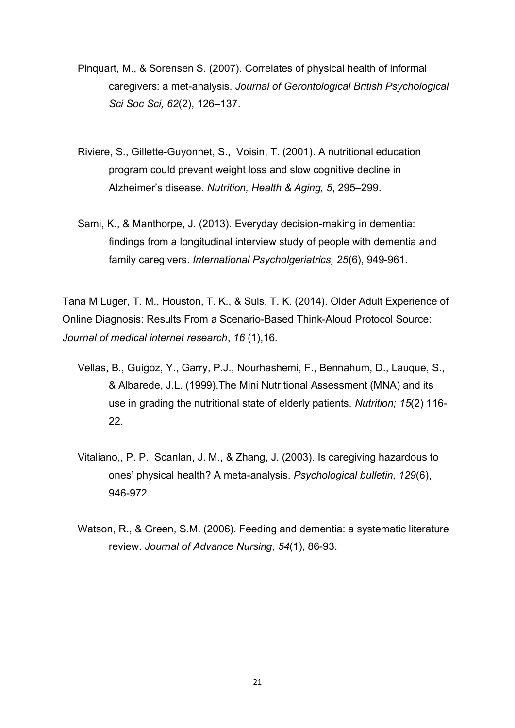- Pinquart, M., & Sorensen S. (2007). Correlates of physical health of informal caregivers: a met-analysis. *Journal of Gerontological British Psychological Sci Soc Sci, 62*(2), 126–137.
- Riviere, S., Gillette-Guyonnet, S., Voisin, T. (2001). A nutritional education program could prevent weight loss and slow cognitive decline in Alzheimer's disease. *Nutrition, Health & Aging, 5*, 295–299.
- Sami, K., & Manthorpe, J. (2013). Everyday decision-making in dementia: findings from a longitudinal interview study of people with dementia and family caregivers. *International Psycholgeriatrics, 25*(6), 949-961.

Tana M Luger, T. M., Houston, T. K., & Suls, T. K. (2014). Older Adult Experience of Online Diagnosis: Results From a Scenario-Based Think-Aloud Protocol Source: *Journal of medical internet research*, *16* (1),16.

- [Vellas,](http://www.ncbi.nlm.nih.gov/pubmed?term=Vellas%20B%5BAuthor%5D&cauthor=true&cauthor_uid=9990575) B., [Guigoz,](http://www.ncbi.nlm.nih.gov/pubmed?term=Guigoz%20Y%5BAuthor%5D&cauthor=true&cauthor_uid=9990575) Y., [Garry,](http://www.ncbi.nlm.nih.gov/pubmed?term=Garry%20PJ%5BAuthor%5D&cauthor=true&cauthor_uid=9990575) P.J., [Nourhashemi,](http://www.ncbi.nlm.nih.gov/pubmed?term=Nourhashemi%20F%5BAuthor%5D&cauthor=true&cauthor_uid=9990575) F., [Bennahum,](http://www.ncbi.nlm.nih.gov/pubmed?term=Bennahum%20D%5BAuthor%5D&cauthor=true&cauthor_uid=9990575) D., [Lauque,](http://www.ncbi.nlm.nih.gov/pubmed?term=Lauque%20S%5BAuthor%5D&cauthor=true&cauthor_uid=9990575) S., & [Albarede,](http://www.ncbi.nlm.nih.gov/pubmed?term=Albarede%20JL%5BAuthor%5D&cauthor=true&cauthor_uid=9990575) J.L. (1999).The Mini Nutritional Assessment (MNA) and its use in grading the nutritional state of elderly patients. *Nutrition; 15*(2) 116- 22.
- Vitaliano,, P. P., Scanlan, J. M., & Zhang, J. (2003). Is caregiving hazardous to ones' physical health? A meta-analysis. *Psychological bulletin, 129*(6), 946-972.
- Watson, R., & Green, S.M. (2006). Feeding and dementia: a systematic literature review. *Journal of Advance Nursing, 54*(1), 86-93.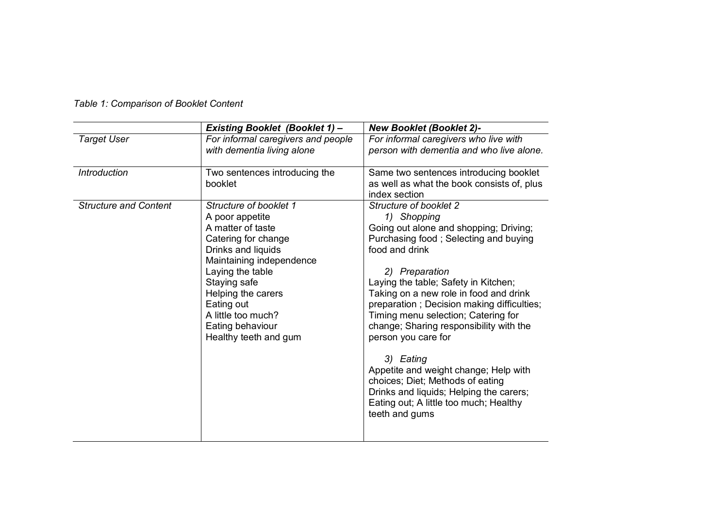|                              | <b>Existing Booklet (Booklet 1) -</b>                                                                                                                                                                                                                                              | <b>New Booklet (Booklet 2)-</b>                                                                                                                                                                                                                                                                                                                                                                                                                                                                                                                                                                        |
|------------------------------|------------------------------------------------------------------------------------------------------------------------------------------------------------------------------------------------------------------------------------------------------------------------------------|--------------------------------------------------------------------------------------------------------------------------------------------------------------------------------------------------------------------------------------------------------------------------------------------------------------------------------------------------------------------------------------------------------------------------------------------------------------------------------------------------------------------------------------------------------------------------------------------------------|
| <b>Target User</b>           | For informal caregivers and people<br>with dementia living alone                                                                                                                                                                                                                   | For informal caregivers who live with<br>person with dementia and who live alone.                                                                                                                                                                                                                                                                                                                                                                                                                                                                                                                      |
| <b>Introduction</b>          | Two sentences introducing the<br>booklet                                                                                                                                                                                                                                           | Same two sentences introducing booklet<br>as well as what the book consists of, plus<br>index section                                                                                                                                                                                                                                                                                                                                                                                                                                                                                                  |
| <b>Structure and Content</b> | Structure of booklet 1<br>A poor appetite<br>A matter of taste<br>Catering for change<br>Drinks and liquids<br>Maintaining independence<br>Laying the table<br>Staying safe<br>Helping the carers<br>Eating out<br>A little too much?<br>Eating behaviour<br>Healthy teeth and gum | Structure of booklet 2<br>1) Shopping<br>Going out alone and shopping; Driving;<br>Purchasing food; Selecting and buying<br>food and drink<br>2) Preparation<br>Laying the table; Safety in Kitchen;<br>Taking on a new role in food and drink<br>preparation; Decision making difficulties;<br>Timing menu selection; Catering for<br>change; Sharing responsibility with the<br>person you care for<br>3) Eating<br>Appetite and weight change; Help with<br>choices; Diet; Methods of eating<br>Drinks and liquids; Helping the carers;<br>Eating out; A little too much; Healthy<br>teeth and gums |

*Table 1: Comparison of Booklet Content*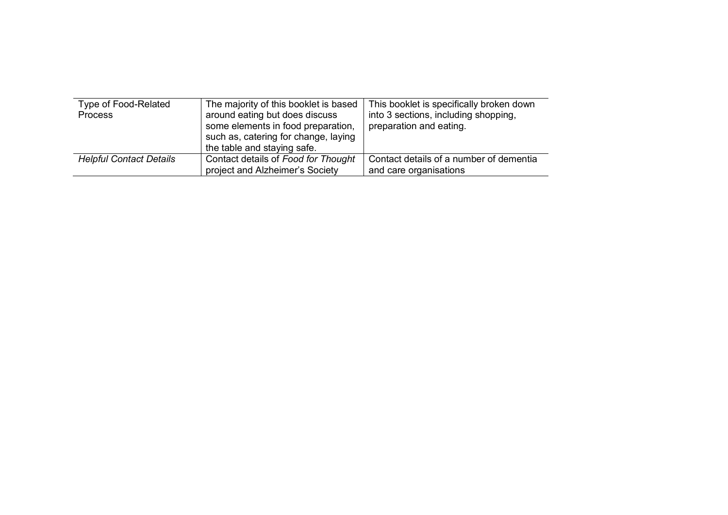| Type of Food-Related<br><b>Process</b> | The majority of this booklet is based<br>around eating but does discuss<br>some elements in food preparation,<br>such as, catering for change, laying<br>the table and staying safe. | This booklet is specifically broken down<br>into 3 sections, including shopping,<br>preparation and eating. |
|----------------------------------------|--------------------------------------------------------------------------------------------------------------------------------------------------------------------------------------|-------------------------------------------------------------------------------------------------------------|
| <b>Helpful Contact Details</b>         | Contact details of Food for Thought<br>project and Alzheimer's Society                                                                                                               | Contact details of a number of dementia<br>and care organisations                                           |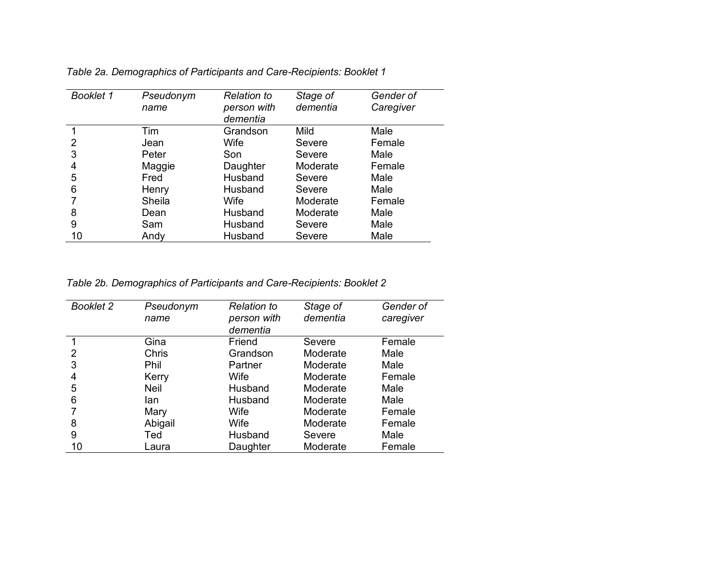| <b>Booklet 1</b> | Pseudonym<br>name | <b>Relation to</b><br>person with<br>dementia | Stage of<br>dementia | Gender of<br>Caregiver |
|------------------|-------------------|-----------------------------------------------|----------------------|------------------------|
|                  | Tim               | Grandson                                      | Mild                 | Male                   |
| 2                | Jean              | Wife                                          | Severe               | Female                 |
| 3                | Peter             | Son                                           | Severe               | Male                   |
| 4                | Maggie            | Daughter                                      | Moderate             | Female                 |
| 5                | Fred              | Husband                                       | Severe               | Male                   |
| 6                | Henry             | Husband                                       | Severe               | Male                   |
|                  | Sheila            | Wife                                          | Moderate             | Female                 |
| 8                | Dean              | Husband                                       | Moderate             | Male                   |
| 9                | Sam               | Husband                                       | Severe               | Male                   |
| 10               | Andy              | Husband                                       | Severe               | Male                   |

*Table 2a. Demographics of Participants and Care-Recipients: Booklet 1*

# *Table 2b. Demographics of Participants and Care-Recipients: Booklet 2*

| <b>Booklet 2</b> | Pseudonym<br>name | <b>Relation to</b><br>person with<br>dementia | Stage of<br>dementia | Gender of<br>caregiver |
|------------------|-------------------|-----------------------------------------------|----------------------|------------------------|
|                  | Gina              | Friend                                        | Severe               | Female                 |
| 2                | <b>Chris</b>      | Grandson                                      | Moderate             | Male                   |
| 3                | Phil              | Partner                                       | Moderate             | Male                   |
| 4                | Kerry             | Wife                                          | Moderate             | Female                 |
| 5                | <b>Neil</b>       | Husband                                       | Moderate             | Male                   |
| 6                | lan               | Husband                                       | Moderate             | Male                   |
|                  | Mary              | Wife                                          | Moderate             | Female                 |
| 8                | Abigail           | Wife                                          | Moderate             | Female                 |
| 9                | Ted               | Husband                                       | Severe               | Male                   |
| 10               | Laura             | Daughter                                      | Moderate             | Female                 |